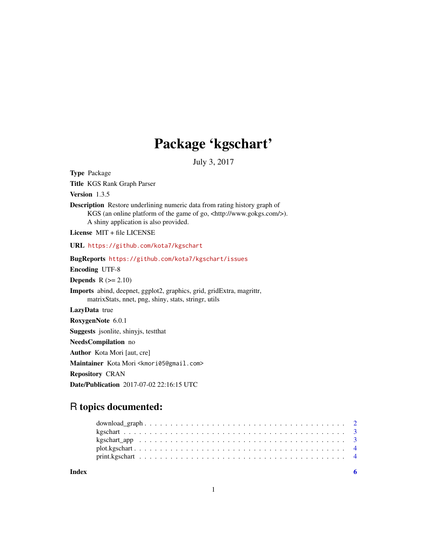# Package 'kgschart'

July 3, 2017

<span id="page-0-0"></span>Type Package Title KGS Rank Graph Parser Version 1.3.5 Description Restore underlining numeric data from rating history graph of KGS (an online platform of the game of go, <http://www.gokgs.com/>). A shiny application is also provided. License MIT + file LICENSE URL <https://github.com/kota7/kgschart> BugReports <https://github.com/kota7/kgschart/issues> Encoding UTF-8 **Depends**  $R$  ( $>= 2.10$ ) Imports abind, deepnet, ggplot2, graphics, grid, gridExtra, magrittr, matrixStats, nnet, png, shiny, stats, stringr, utils LazyData true RoxygenNote 6.0.1 Suggests jsonlite, shinyjs, testthat NeedsCompilation no Author Kota Mori [aut, cre] Maintainer Kota Mori <kmori05@gmail.com> Repository CRAN Date/Publication 2017-07-02 22:16:15 UTC

# R topics documented:

| Index |  |  |  |  |  |  |  |  |  |  |  |  |  |  |  |  |  |  |  |
|-------|--|--|--|--|--|--|--|--|--|--|--|--|--|--|--|--|--|--|--|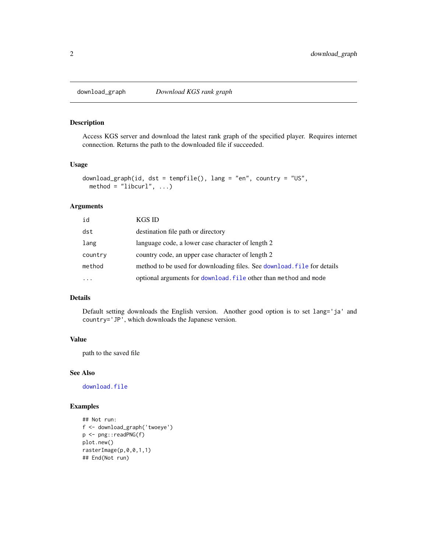<span id="page-1-0"></span>

#### **Description**

Access KGS server and download the latest rank graph of the specified player. Requires internet connection. Returns the path to the downloaded file if succeeded.

#### Usage

```
download_graph(id, dst = tempfile(), lang = "en", country = "US",
 method = "libcurl", ...)
```
#### Arguments

| id        | KGS ID                                                                  |
|-----------|-------------------------------------------------------------------------|
| dst       | destination file path or directory                                      |
| lang      | language code, a lower case character of length 2                       |
| country   | country code, an upper case character of length 2                       |
| method    | method to be used for downloading files. See download. File for details |
| $\ddotsc$ | optional arguments for download. File other than method and mode        |

#### Details

Default setting downloads the English version. Another good option is to set lang='ja' and country='JP', which downloads the Japanese version.

#### Value

path to the saved file

#### See Also

[download.file](#page-0-0)

#### Examples

```
## Not run:
f <- download_graph('twoeye')
p <- png::readPNG(f)
plot.new()
rasterImage(p,0,0,1,1)
## End(Not run)
```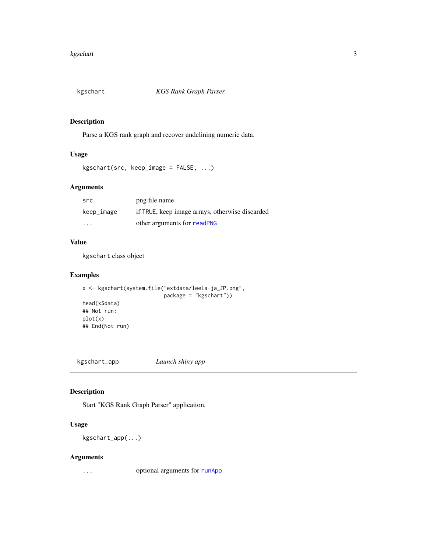<span id="page-2-0"></span>

#### Description

Parse a KGS rank graph and recover undelining numeric data.

#### Usage

```
kgschart(src, keep_image = FALSE, ...)
```
#### Arguments

| src        | png file name                                   |
|------------|-------------------------------------------------|
| keep_image | if TRUE, keep image arrays, otherwise discarded |
| $\cdots$   | other arguments for readPNG                     |

#### Value

kgschart class object

#### Examples

```
x <- kgschart(system.file("extdata/leela-ja_JP.png",
                         package = "kgschart"))
head(x$data)
## Not run:
plot(x)
## End(Not run)
```
kgschart\_app *Launch shiny app*

#### Description

Start "KGS Rank Graph Parser" applicaiton.

#### Usage

kgschart\_app(...)

#### Arguments

... optional arguments for [runApp](#page-0-0)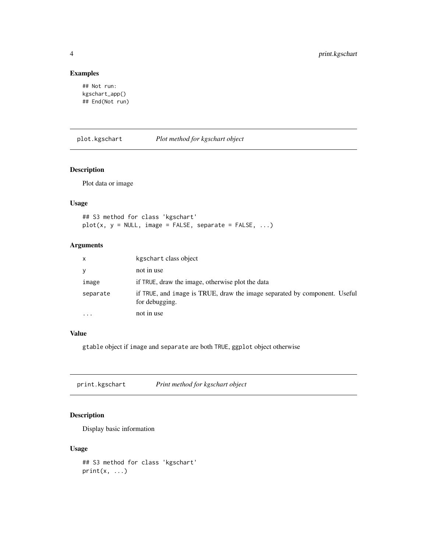#### Examples

```
## Not run:
kgschart_app()
## End(Not run)
```
plot.kgschart *Plot method for kgschart object*

#### Description

Plot data or image

#### Usage

## S3 method for class 'kgschart'  $plot(x, y = NULL, image = FALSE, separate = FALSE, ...)$ 

#### Arguments

| $\mathsf{x}$ | kgschart class object                                                                       |
|--------------|---------------------------------------------------------------------------------------------|
| y            | not in use                                                                                  |
| image        | if TRUE, draw the image, otherwise plot the data                                            |
| separate     | if TRUE, and image is TRUE, draw the image separated by component. Useful<br>for debugging. |
| $\cdots$     | not in use                                                                                  |

#### Value

gtable object if image and separate are both TRUE, ggplot object otherwise

print.kgschart *Print method for kgschart object*

## Description

Display basic information

#### Usage

```
## S3 method for class 'kgschart'
print(x, \ldots)
```
<span id="page-3-0"></span>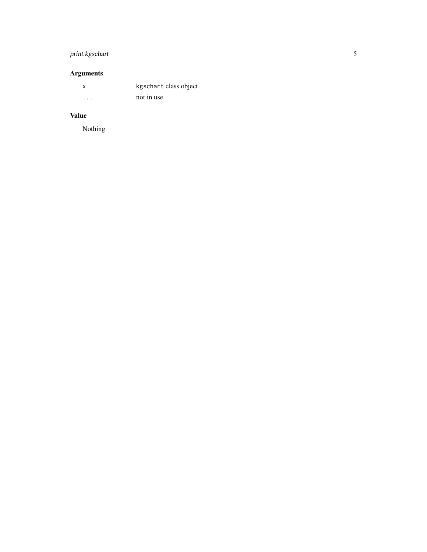## print.kgschart

# Arguments

| x       | kgschart class object |
|---------|-----------------------|
| $\cdot$ | not in use            |

# Value

Nothing